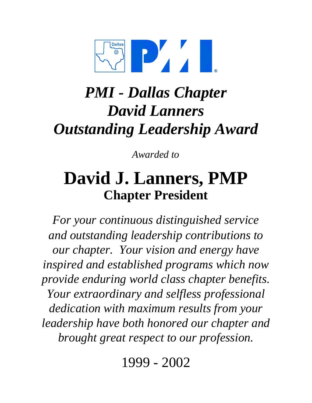

# *Outstanding Leadership Award David Lanners PMI - Dallas Chapter*

*Awarded to*

## **David J. Lanners, PMP Chapter President**

*For your continuous distinguished service and outstanding leadership contributions to our chapter. Your vision and energy have inspired and established programs which now provide enduring world class chapter benefits. Your extraordinary and selfless professional dedication with maximum results from your leadership have both honored our chapter and brought great respect to our profession.*

1999 - 2002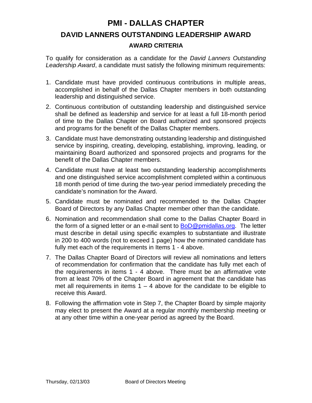### **PMI - DALLAS CHAPTER DAVID LANNERS OUTSTANDING LEADERSHIP AWARD AWARD CRITERIA**

To qualify for consideration as a candidate for the *David Lanners Outstanding Leadership Award*, a candidate must satisfy the following minimum requirements:

- 1. Candidate must have provided continuous contributions in multiple areas, accomplished in behalf of the Dallas Chapter members in both outstanding leadership and distinguished service.
- 2. Continuous contribution of outstanding leadership and distinguished service shall be defined as leadership and service for at least a full 18-month period of time to the Dallas Chapter on Board authorized and sponsored projects and programs for the benefit of the Dallas Chapter members.
- 3. Candidate must have demonstrating outstanding leadership and distinguished service by inspiring, creating, developing, establishing, improving, leading, or maintaining Board authorized and sponsored projects and programs for the benefit of the Dallas Chapter members.
- 4. Candidate must have at least two outstanding leadership accomplishments and one distinguished service accomplishment completed within a continuous 18 month period of time during the two-year period immediately preceding the candidate's nomination for the Award.
- 5. Candidate must be nominated and recommended to the Dallas Chapter Board of Directors by any Dallas Chapter member other than the candidate.
- 6. Nomination and recommendation shall come to the Dallas Chapter Board in the form of a signed letter or an e-mail sent to  $BoD@pmidalas.org$ . The letter must describe in detail using specific examples to substantiate and illustrate in 200 to 400 words (not to exceed 1 page) how the nominated candidate has fully met each of the requirements in Items 1 - 4 above.
- 7. The Dallas Chapter Board of Directors will review all nominations and letters of recommendation for confirmation that the candidate has fully met each of the requirements in items 1 - 4 above. There must be an affirmative vote from at least 70% of the Chapter Board in agreement that the candidate has met all requirements in items  $1 - 4$  above for the candidate to be eligible to receive this Award.
- 8. Following the affirmation vote in Step 7, the Chapter Board by simple majority may elect to present the Award at a regular monthly membership meeting or at any other time within a one-year period as agreed by the Board.